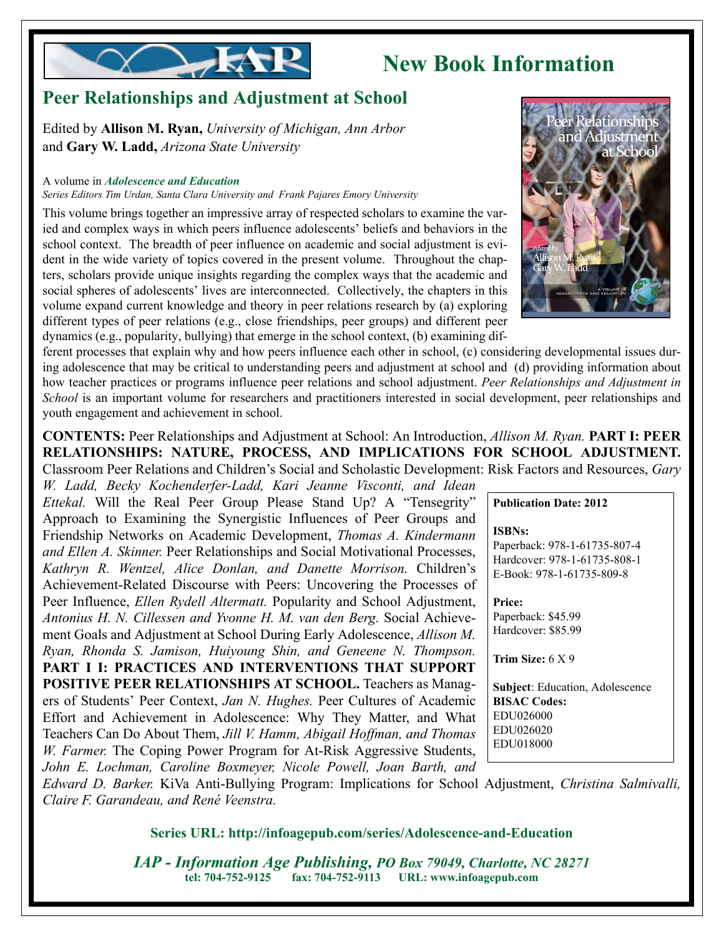

## **New Book Information**

## **Peer Relationships and Adjustment at School**

Edited by **Allison M. Ryan,** *University of Michigan, Ann Arbor* and **Gary W. Ladd,** *Arizona State University*

#### A volume in *Adolescence and Education*

*Series Editors Tim Urdan, Santa Clara University and Frank Pajares Emory University*

This volume brings together an impressive array of respected scholars to examine the varied and complex ways in which peers influence adolescents' beliefs and behaviors in the school context. The breadth of peer influence on academic and social adjustment is evident in the wide variety of topics covered in the present volume. Throughout the chapters, scholars provide unique insights regarding the complex ways that the academic and social spheres of adolescents' lives are interconnected. Collectively, the chapters in this volume expand current knowledge and theory in peer relations research by (a) exploring different types of peer relations (e.g., close friendships, peer groups) and different peer dynamics (e.g., popularity, bullying) that emerge in the school context, (b) examining dif-

ferent processes that explain why and how peers influence each other in school, (c) considering developmental issues during adolescence that may be critical to understanding peers and adjustment at school and (d) providing information about how teacher practices or programs influence peer relations and school adjustment. *Peer Relationships and Adjustment in School* is an important volume for researchers and practitioners interested in social development, peer relationships and youth engagement and achievement in school.

**CONTENTS:** Peer Relationships and Adjustment at School: An Introduction, *Allison M. Ryan.* **PART I: PEER RELATIONSHIPS: NATURE, PROCESS, AND IMPLICATIONS FOR SCHOOL ADJUSTMENT.** Classroom Peer Relations and Children's Social and Scholastic Development: Risk Factors and Resources, *Gary*

*W. Ladd, Becky Kochenderfer-Ladd, Kari Jeanne Visconti, and Idean Ettekal.* Will the Real Peer Group Please Stand Up? A "Tensegrity" Approach to Examining the Synergistic Influences of Peer Groups and Friendship Networks on Academic Development, *Thomas A. Kindermann and Ellen A. Skinner.* Peer Relationships and Social Motivational Processes, *Kathryn R. Wentzel, Alice Donlan, and Danette Morrison.* Children's Achievement-Related Discourse with Peers: Uncovering the Processes of Peer Influence, *Ellen Rydell Altermatt.* Popularity and School Adjustment, *Antonius H. N. Cillessen and Yvonne H. M. van den Berg.* Social Achievement Goals and Adjustment at School During Early Adolescence, *Allison M. Ryan, Rhonda S. Jamison, Huiyoung Shin, and Geneene N. Thompson.* **PART I I: PRACTICES AND INTERVENTIONS THAT SUPPORT POSITIVE PEER RELATIONSHIPS AT SCHOOL.** Teachers as Managers of Students' Peer Context, *Jan N. Hughes.* Peer Cultures of Academic Effort and Achievement in Adolescence: Why They Matter, and What Teachers Can Do About Them, *Jill V. Hamm, Abigail Hoffman, and Thomas W. Farmer.* The Coping Power Program for At-Risk Aggressive Students, *John E. Lochman, Caroline Boxmeyer, Nicole Powell, Joan Barth, and*



**Publication Date: 2012**

**ISBNs:**

Paperback: 978-1-61735-807-4 Hardcover: 978-1-61735-808-1 E-Book: 978-1-61735-809-8

**Price:**  Paperback: \$45.99 Hardcover: \$85.99

**Trim Size:** 6 X 9

**Subject**: Education, Adolescence **BISAC Codes:** EDU026000 EDU026020 EDU018000

*Edward D. Barker.* KiVa Anti-Bullying Program: Implications for School Adjustment, *Christina Salmivalli, Claire F. Garandeau, and René Veenstra.* 

**Series URL: http://infoagepub.com/series/Adolescence-and-Education**

*IAP - Information Age Publishing, PO Box 79049, Charlotte, NC 28271* **tel: 704-752-9125 fax: 704-752-9113 URL: www.infoagepub.com**